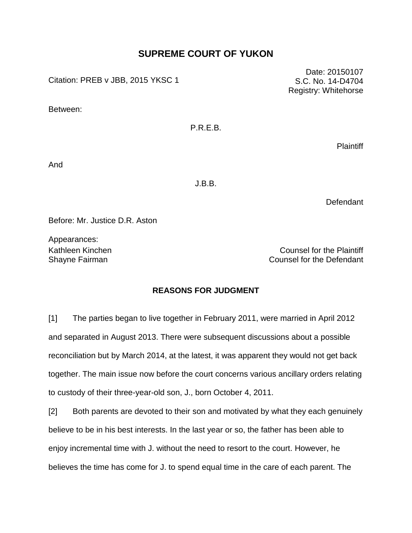# **SUPREME COURT OF YUKON**

Citation: PREB v JBB, 2015 YKSC 1

Between:

P.R.E.B.

**Plaintiff** 

And

J.B.B.

Defendant

Before: Mr. Justice D.R. Aston

Appearances:

Kathleen Kinchen Counsel for the Plaintiff Shayne Fairman Counsel for the Defendant

## **REASONS FOR JUDGMENT**

[1] The parties began to live together in February 2011, were married in April 2012 and separated in August 2013. There were subsequent discussions about a possible reconciliation but by March 2014, at the latest, it was apparent they would not get back together. The main issue now before the court concerns various ancillary orders relating to custody of their three-year-old son, J., born October 4, 2011.

[2] Both parents are devoted to their son and motivated by what they each genuinely believe to be in his best interests. In the last year or so, the father has been able to enjoy incremental time with J. without the need to resort to the court. However, he believes the time has come for J. to spend equal time in the care of each parent. The

Date: 20150107 S.C. No. 14-D4704 Registry: Whitehorse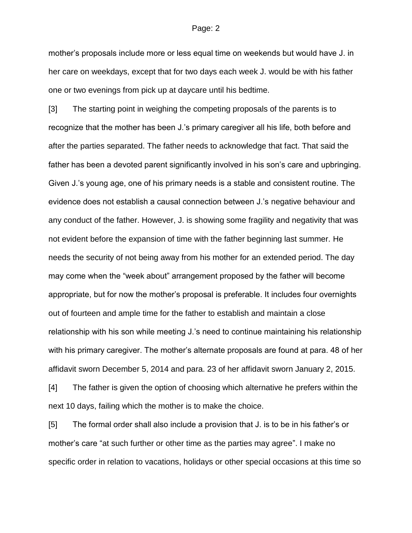mother's proposals include more or less equal time on weekends but would have J. in her care on weekdays, except that for two days each week J. would be with his father one or two evenings from pick up at daycare until his bedtime.

[3] The starting point in weighing the competing proposals of the parents is to recognize that the mother has been J.'s primary caregiver all his life, both before and after the parties separated. The father needs to acknowledge that fact. That said the father has been a devoted parent significantly involved in his son's care and upbringing. Given J.'s young age, one of his primary needs is a stable and consistent routine. The evidence does not establish a causal connection between J.'s negative behaviour and any conduct of the father. However, J. is showing some fragility and negativity that was not evident before the expansion of time with the father beginning last summer. He needs the security of not being away from his mother for an extended period. The day may come when the "week about" arrangement proposed by the father will become appropriate, but for now the mother's proposal is preferable. It includes four overnights out of fourteen and ample time for the father to establish and maintain a close relationship with his son while meeting J.'s need to continue maintaining his relationship with his primary caregiver. The mother's alternate proposals are found at para. 48 of her affidavit sworn December 5, 2014 and para. 23 of her affidavit sworn January 2, 2015. [4] The father is given the option of choosing which alternative he prefers within the next 10 days, failing which the mother is to make the choice.

[5] The formal order shall also include a provision that J. is to be in his father's or mother's care "at such further or other time as the parties may agree". I make no specific order in relation to vacations, holidays or other special occasions at this time so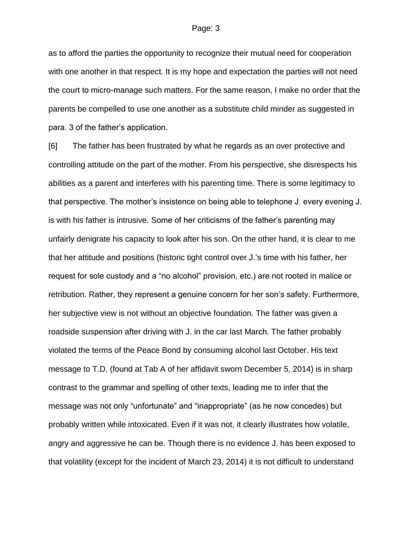as to afford the parties the opportunity to recognize their mutual need for cooperation with one another in that respect. It is my hope and expectation the parties will not need the court to micro-manage such matters. For the same reason, I make no order that the parents be compelled to use one another as a substitute child minder as suggested in para. 3 of the father's application.

[6] The father has been frustrated by what he regards as an over protective and controlling attitude on the part of the mother. From his perspective, she disrespects his abilities as a parent and interferes with his parenting time. There is some legitimacy to that perspective. The mother's insistence on being able to telephone J. every evening J. is with his father is intrusive. Some of her criticisms of the father's parenting may unfairly denigrate his capacity to look after his son. On the other hand, it is clear to me that her attitude and positions (historic tight control over J.'s time with his father, her request for sole custody and a "no alcohol" provision, etc.) are not rooted in malice or retribution. Rather, they represent a genuine concern for her son's safety. Furthermore, her subjective view is not without an objective foundation. The father was given a roadside suspension after driving with J. in the car last March. The father probably violated the terms of the Peace Bond by consuming alcohol last October. His text message to T.D. (found at Tab A of her affidavit sworn December 5, 2014) is in sharp contrast to the grammar and spelling of other texts, leading me to infer that the message was not only "unfortunate" and "inappropriate" (as he now concedes) but probably written while intoxicated. Even if it was not, it clearly illustrates how volatile, angry and aggressive he can be. Though there is no evidence J. has been exposed to that volatility (except for the incident of March 23, 2014) it is not difficult to understand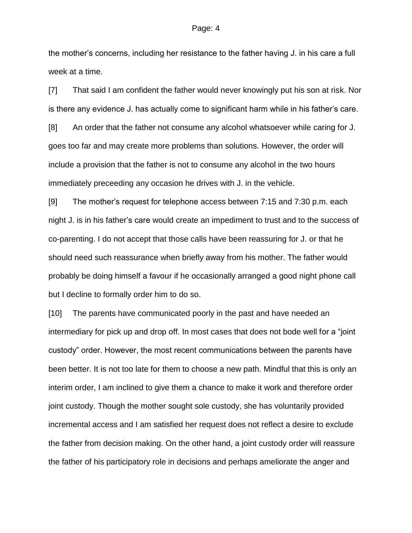the mother's concerns, including her resistance to the father having J. in his care a full week at a time.

[7] That said I am confident the father would never knowingly put his son at risk. Nor is there any evidence J. has actually come to significant harm while in his father's care. [8] An order that the father not consume any alcohol whatsoever while caring for J.

goes too far and may create more problems than solutions. However, the order will include a provision that the father is not to consume any alcohol in the two hours immediately preceeding any occasion he drives with J. in the vehicle.

[9] The mother's request for telephone access between 7:15 and 7:30 p.m. each night J. is in his father's care would create an impediment to trust and to the success of co-parenting. I do not accept that those calls have been reassuring for J. or that he should need such reassurance when briefly away from his mother. The father would probably be doing himself a favour if he occasionally arranged a good night phone call but I decline to formally order him to do so.

[10] The parents have communicated poorly in the past and have needed an intermediary for pick up and drop off. In most cases that does not bode well for a "joint custody" order. However, the most recent communications between the parents have been better. It is not too late for them to choose a new path. Mindful that this is only an interim order, I am inclined to give them a chance to make it work and therefore order joint custody. Though the mother sought sole custody, she has voluntarily provided incremental access and I am satisfied her request does not reflect a desire to exclude the father from decision making. On the other hand, a joint custody order will reassure the father of his participatory role in decisions and perhaps ameliorate the anger and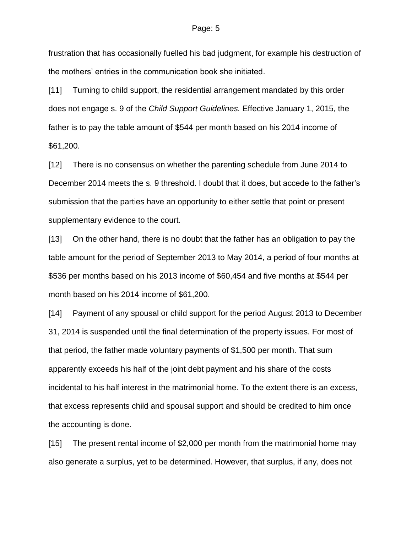frustration that has occasionally fuelled his bad judgment, for example his destruction of the mothers' entries in the communication book she initiated.

[11] Turning to child support, the residential arrangement mandated by this order does not engage s. 9 of the *Child Support Guidelines.* Effective January 1, 2015, the father is to pay the table amount of \$544 per month based on his 2014 income of \$61,200.

[12] There is no consensus on whether the parenting schedule from June 2014 to December 2014 meets the s. 9 threshold. I doubt that it does, but accede to the father's submission that the parties have an opportunity to either settle that point or present supplementary evidence to the court.

[13] On the other hand, there is no doubt that the father has an obligation to pay the table amount for the period of September 2013 to May 2014, a period of four months at \$536 per months based on his 2013 income of \$60,454 and five months at \$544 per month based on his 2014 income of \$61,200.

[14] Payment of any spousal or child support for the period August 2013 to December 31, 2014 is suspended until the final determination of the property issues. For most of that period, the father made voluntary payments of \$1,500 per month. That sum apparently exceeds his half of the joint debt payment and his share of the costs incidental to his half interest in the matrimonial home. To the extent there is an excess, that excess represents child and spousal support and should be credited to him once the accounting is done.

[15] The present rental income of \$2,000 per month from the matrimonial home may also generate a surplus, yet to be determined. However, that surplus, if any, does not